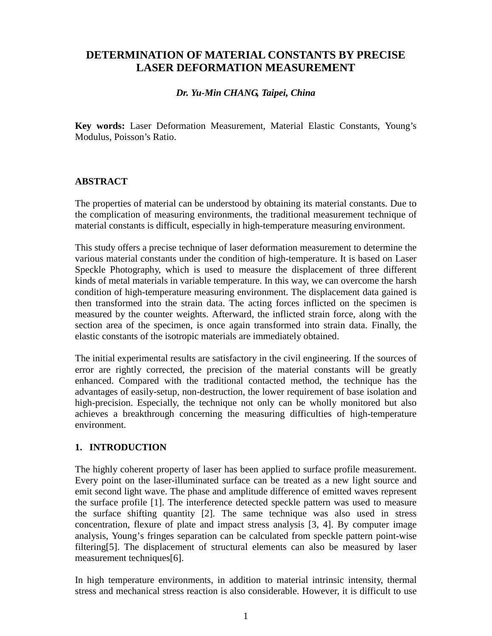# **DETERMINATION OF MATERIAL CONSTANTS BY PRECISE LASER DEFORMATION MEASUREMENT**

## *Dr. Yu-Min CHANG, Taipei, China*

**Key words:** Laser Deformation Measurement, Material Elastic Constants, Young's Modulus, Poisson's Ratio.

### **ABSTRACT**

The properties of material can be understood by obtaining its material constants. Due to the complication of measuring environments, the traditional measurement technique of material constants is difficult, especially in high-temperature measuring environment.

This study offers a precise technique of laser deformation measurement to determine the various material constants under the condition of high-temperature. It is based on Laser Speckle Photography, which is used to measure the displacement of three different kinds of metal materials in variable temperature. In this way, we can overcome the harsh condition of high-temperature measuring environment. The displacement data gained is then transformed into the strain data. The acting forces inflicted on the specimen is measured by the counter weights. Afterward, the inflicted strain force, along with the section area of the specimen, is once again transformed into strain data. Finally, the elastic constants of the isotropic materials are immediately obtained.

The initial experimental results are satisfactory in the civil engineering. If the sources of error are rightly corrected, the precision of the material constants will be greatly enhanced. Compared with the traditional contacted method, the technique has the advantages of easily-setup, non-destruction, the lower requirement of base isolation and high-precision. Especially, the technique not only can be wholly monitored but also achieves a breakthrough concerning the measuring difficulties of high-temperature environment.

# **1. INTRODUCTION**

The highly coherent property of laser has been applied to surface profile measurement. Every point on the laser-illuminated surface can be treated as a new light source and emit second light wave. The phase and amplitude difference of emitted waves represent the surface profile [1]. The interference detected speckle pattern was used to measure the surface shifting quantity [2]. The same technique was also used in stress concentration, flexure of plate and impact stress analysis [3, 4]. By computer image analysis, Young's fringes separation can be calculated from speckle pattern point-wise filtering[5]. The displacement of structural elements can also be measured by laser measurement techniques[6].

In high temperature environments, in addition to material intrinsic intensity, thermal stress and mechanical stress reaction is also considerable. However, it is difficult to use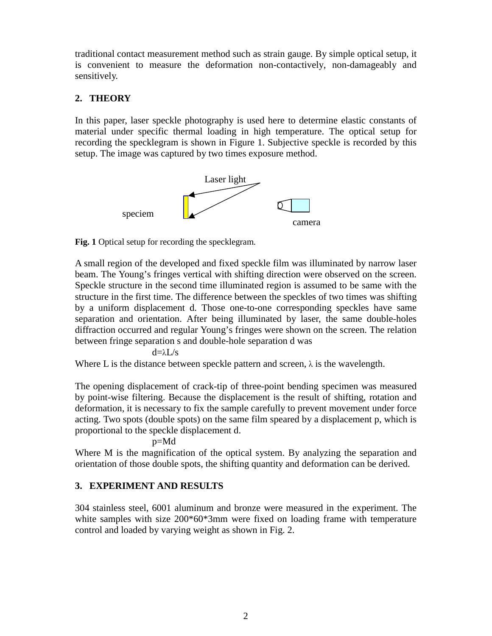traditional contact measurement method such as strain gauge. By simple optical setup, it is convenient to measure the deformation non-contactively, non-damageably and sensitively.

# **2. THEORY**

In this paper, laser speckle photography is used here to determine elastic constants of material under specific thermal loading in high temperature. The optical setup for recording the specklegram is shown in Figure 1. Subjective speckle is recorded by this setup. The image was captured by two times exposure method.



**Fig. 1** Optical setup for recording the specklegram.

A small region of the developed and fixed speckle film was illuminated by narrow laser beam. The Young's fringes vertical with shifting direction were observed on the screen. Speckle structure in the second time illuminated region is assumed to be same with the structure in the first time. The difference between the speckles of two times was shifting by a uniform displacement d. Those one-to-one corresponding speckles have same separation and orientation. After being illuminated by laser, the same double-holes diffraction occurred and regular Young's fringes were shown on the screen. The relation between fringe separation s and double-hole separation d was

 $d=\lambda L/s$ 

Where L is the distance between speckle pattern and screen,  $\lambda$  is the wavelength.

The opening displacement of crack-tip of three-point bending specimen was measured by point-wise filtering. Because the displacement is the result of shifting, rotation and deformation, it is necessary to fix the sample carefully to prevent movement under force acting. Two spots (double spots) on the same film speared by a displacement p, which is proportional to the speckle displacement d.

p=Md

Where M is the magnification of the optical system. By analyzing the separation and orientation of those double spots, the shifting quantity and deformation can be derived.

# **3. EXPERIMENT AND RESULTS**

304 stainless steel, 6001 aluminum and bronze were measured in the experiment. The white samples with size 200<sup>\*</sup>60<sup>\*</sup>3mm were fixed on loading frame with temperature control and loaded by varying weight as shown in Fig. 2.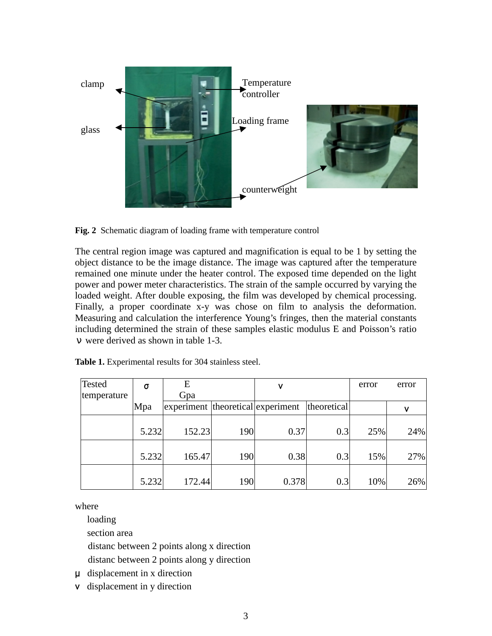

**Fig. 2** Schematic diagram of loading frame with temperature control

The central region image was captured and magnification is equal to be 1 by setting the object distance to be the image distance. The image was captured after the temperature remained one minute under the heater control. The exposed time depended on the light power and power meter characteristics. The strain of the sample occurred by varying the loaded weight. After double exposing, the film was developed by chemical processing. Finally, a proper coordinate x-y was chose on film to analysis the deformation. Measuring and calculation the interference Young's fringes, then the material constants including determined the strain of these samples elastic modulus E and Poisson's ratio ν were derived as shown in table 1-3.

| <b>Tested</b> | σ     | E                                 |            | v     |             | error | error |
|---------------|-------|-----------------------------------|------------|-------|-------------|-------|-------|
| temperature   |       | Gpa                               |            |       |             |       |       |
|               | Mpa   | experiment theoretical experiment |            |       | theoretical |       | ν     |
|               | 5.232 | 152.23                            | <b>190</b> | 0.37  | 0.3         | 25%   | 24%   |
|               | 5.232 | 165.47                            | <b>190</b> | 0.38  | 0.3         | 15%   | 27%   |
|               | 5.232 | 172.44                            | 190        | 0.378 | 0.3         | 10%   | 26%   |

**Table 1.** Experimental results for 304 stainless steel.

where

loading

section area

distanc between 2 points along x direction

distanc between 2 points along y direction

µ displacement in x direction

ν displacement in y direction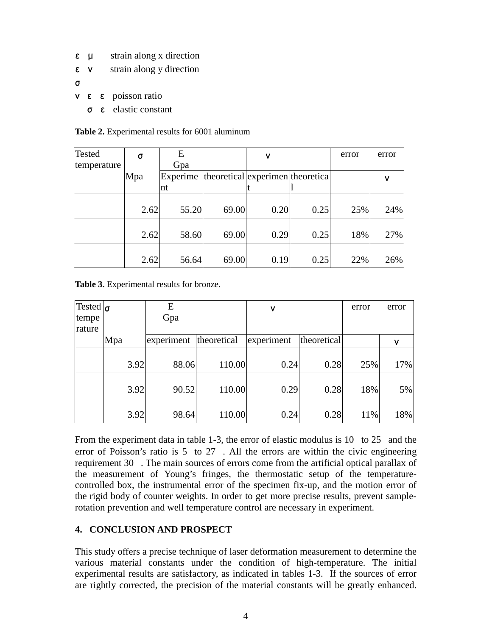- $\epsilon$   $\mu$  strain along x direction
- $\epsilon$  v strain along y direction
- σ
- $ν \varepsilon \varepsilon$  poisson ratio
	- σεelastic constant

| <b>Table 2.</b> Experimental results for 6001 aluminum |
|--------------------------------------------------------|
|--------------------------------------------------------|

| Tested      | σ    | E        |       | ν                                 |      | error | error |
|-------------|------|----------|-------|-----------------------------------|------|-------|-------|
| temperature |      | Gpa      |       |                                   |      |       |       |
|             | Mpa  | Experime |       | theoretical experimen theoretical |      |       | v     |
|             |      | Int      |       |                                   |      |       |       |
|             |      |          |       |                                   |      |       |       |
|             | 2.62 | 55.20    | 69.00 | 0.20                              | 0.25 | 25%   | 24%   |
|             |      |          |       |                                   |      |       |       |
|             | 2.62 | 58.60    | 69.00 | 0.29                              | 0.25 | 18%   | 27%   |
|             |      |          |       |                                   |      |       |       |
|             | 2.62 | 56.64    | 69.00 | 0.19                              | 0.25 | 22%   | 26%   |

**Table 3.** Experimental results for bronze.

| Tested $\sigma$ |      | E          |             | ٧          |             | error | error |
|-----------------|------|------------|-------------|------------|-------------|-------|-------|
| tempe           |      | Gpa        |             |            |             |       |       |
| rature          |      |            |             |            |             |       |       |
|                 | Mpa  | experiment | theoretical | experiment | theoretical |       | ν     |
|                 |      |            |             |            |             |       |       |
|                 | 3.92 | 88.06      | 110.00      | 0.24       | 0.28        | 25%   | 17%   |
|                 |      |            |             |            |             |       |       |
|                 | 3.92 | 90.52      | 110.00      | 0.29       | 0.28        | 18%   | 5%    |
|                 |      |            |             |            |             |       |       |
|                 | 3.92 | 98.64      | 110.00      | 0.24       | 0.28        | 11%   | 18%   |

From the experiment data in table 1-3, the error of elastic modulus is  $10$  to  $25$  and the error of Poisson's ratio is  $5$  to  $27$ . All the errors are within the civic engineering requirement 30. The main sources of errors come from the artificial optical parallax of the measurement of Young's fringes, the thermostatic setup of the temperaturecontrolled box, the instrumental error of the specimen fix-up, and the motion error of the rigid body of counter weights. In order to get more precise results, prevent samplerotation prevention and well temperature control are necessary in experiment.

### **4. CONCLUSION AND PROSPECT**

This study offers a precise technique of laser deformation measurement to determine the various material constants under the condition of high-temperature. The initial experimental results are satisfactory, as indicated in tables 1-3. If the sources of error are rightly corrected, the precision of the material constants will be greatly enhanced.